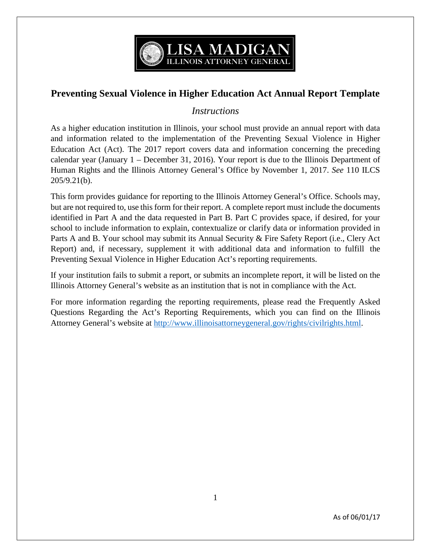

# **Preventing Sexual Violence in Higher Education Act Annual Report Template**

## *Instructions*

As a higher education institution in Illinois, your school must provide an annual report with data and information related to the implementation of the Preventing Sexual Violence in Higher Education Act (Act). The 2017 report covers data and information concerning the preceding calendar year (January 1 – December 31, 2016). Your report is due to the Illinois Department of Human Rights and the Illinois Attorney General's Office by November 1, 2017. *See* 110 ILCS 205/9.21(b).

This form provides guidance for reporting to the Illinois Attorney General's Office. Schools may, but are not required to, use this form for their report. A complete report must include the documents identified in Part A and the data requested in Part B. Part C provides space, if desired, for your school to include information to explain, contextualize or clarify data or information provided in Parts A and B. Your school may submit its Annual Security & Fire Safety Report (i.e., Clery Act Report) and, if necessary, supplement it with additional data and information to fulfill the Preventing Sexual Violence in Higher Education Act's reporting requirements.

If your institution fails to submit a report, or submits an incomplete report, it will be listed on the Illinois Attorney General's website as an institution that is not in compliance with the Act.

For more information regarding the reporting requirements, please read the Frequently Asked Questions Regarding the Act's Reporting Requirements, which you can find on the Illinois Attorney General's website at [http://www.illinoisattorneygeneral.gov/rights/civilrights.html.](http://www.illinoisattorneygeneral.gov/rights/civilrights.html)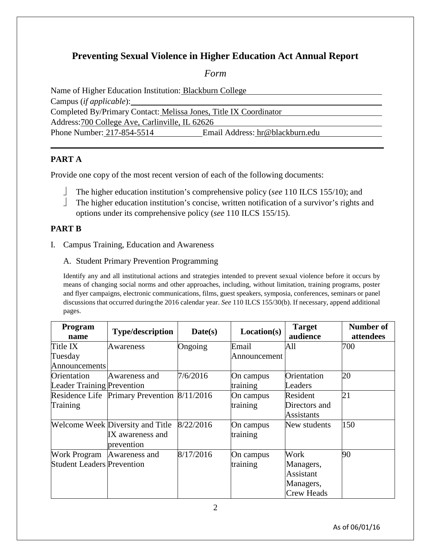# **Preventing Sexual Violence in Higher Education Act Annual Report**

*Form*

Name of Higher Education Institution: Blackburn College Campus (*if applicable*): Completed By/Primary Contact: Melissa Jones, Title IX Coordinator Address:700 College Ave, Carlinville, IL 62626 Phone Number: 217-854-5514 Email Address: hr@blackburn.edu

## **PART A**

Provide one copy of the most recent version of each of the following documents:

- The higher education institution's comprehensive policy (*see* 110 ILCS 155/10); and
- The higher education institution's concise, written notification of a survivor's rights and options under its comprehensive policy (*see* 110 ILCS 155/15).

## **PART B**

- I. Campus Training, Education and Awareness
	- A. Student Primary Prevention Programming

Identify any and all institutional actions and strategies intended to prevent sexual violence before it occurs by means of changing social norms and other approaches, including, without limitation, training programs, poster and flyer campaigns, electronic communications, films, guest speakers, symposia, conferences, seminars or panel discussions that occurred duringthe 2016 calendar year. *See* 110 ILCS 155/30(b). If necessary, append additional pages.

| Program<br>name                   | <b>Type/description</b>                     | Date(s)   | Location(s)  | <b>Target</b><br>audience | <b>Number of</b><br>attendees |
|-----------------------------------|---------------------------------------------|-----------|--------------|---------------------------|-------------------------------|
| Title IX                          | Awareness                                   | Ongoing   | Email        | All                       | 700                           |
| Tuesday                           |                                             |           | Announcement |                           |                               |
| Announcements                     |                                             |           |              |                           |                               |
| Orientation                       | Awareness and                               | 7/6/2016  | On campus    | Orientation               | 20                            |
| <b>Leader Training Prevention</b> |                                             |           | training     | Leaders                   |                               |
|                                   | Residence Life Primary Prevention 8/11/2016 |           | On campus    | Resident                  | 21                            |
| Training                          |                                             |           | training     | Directors and             |                               |
|                                   |                                             |           |              | Assistants                |                               |
|                                   | <b>Welcome Week Diversity and Title</b>     | 8/22/2016 | On campus    | New students              | 150                           |
|                                   | IX awareness and                            |           | training     |                           |                               |
|                                   | prevention                                  |           |              |                           |                               |
| Work Program Awareness and        |                                             | 8/17/2016 | On campus    | Work                      | 90                            |
| <b>Student Leaders Prevention</b> |                                             |           | training     | Managers,                 |                               |
|                                   |                                             |           |              | Assistant                 |                               |
|                                   |                                             |           |              | Managers,                 |                               |
|                                   |                                             |           |              | <b>Crew Heads</b>         |                               |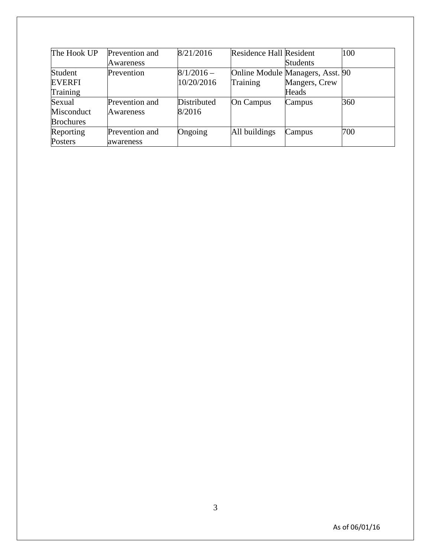| The Hook UP      | Prevention and | 8/21/2016    | <b>Residence Hall Resident</b> |                                  | 100 |
|------------------|----------------|--------------|--------------------------------|----------------------------------|-----|
|                  | Awareness      |              |                                | <b>Students</b>                  |     |
| Student          | Prevention     | $8/1/2016 -$ |                                | Online Module Managers, Asst. 90 |     |
| <b>EVERFI</b>    |                | 10/20/2016   | Training                       | Mangers, Crew                    |     |
| Training         |                |              |                                | Heads                            |     |
| Sexual           | Prevention and | Distributed  | <b>On Campus</b>               | Campus                           | 360 |
| Misconduct       | Awareness      | 8/2016       |                                |                                  |     |
| <b>Brochures</b> |                |              |                                |                                  |     |
| Reporting        | Prevention and | Ongoing      | All buildings                  | Campus                           | 700 |
| <b>Posters</b>   | awareness      |              |                                |                                  |     |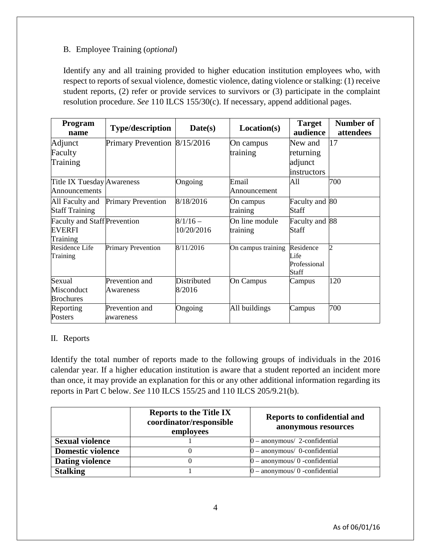### B. Employee Training (*optional*)

Identify any and all training provided to higher education institution employees who, with respect to reports of sexual violence, domestic violence, dating violence or stalking: (1) receive student reports, (2) refer or provide services to survivors or (3) participate in the complaint resolution procedure. *See* 110 ILCS 155/30(c). If necessary, append additional pages.

| Program<br>name                                                  | <b>Type/description</b>      | Date(s)                  | Location(s)                | <b>Target</b><br>audience                  | Number of<br>attendees |
|------------------------------------------------------------------|------------------------------|--------------------------|----------------------------|--------------------------------------------|------------------------|
| Adjunct                                                          | Primary Prevention 8/15/2016 |                          | On campus                  | New and                                    | 17                     |
| Faculty<br>Training                                              |                              |                          | training                   | returning<br>adjunct<br>instructors        |                        |
| Title IX Tuesday Awareness<br>Announcements                      |                              | Ongoing                  | Email<br>Announcement      | All                                        | 700                    |
| All Faculty and<br><b>Staff Training</b>                         | <b>Primary Prevention</b>    | 8/18/2016                | On campus<br>training      | Faculty and 80<br>Staff                    |                        |
| <b>Faculty and Staff Prevention</b><br><b>EVERFI</b><br>Training |                              | $8/1/16$ –<br>10/20/2016 | On line module<br>training | Faculty and 88<br>Staff                    |                        |
| Residence Life<br>Training                                       | <b>Primary Prevention</b>    | 8/11/2016                | On campus training         | Residence<br>Life<br>Professional<br>Staff | $\overline{c}$         |
| Sexual                                                           | Prevention and               | Distributed              | On Campus                  | Campus                                     | 120                    |
| Misconduct                                                       | Awareness                    | 8/2016                   |                            |                                            |                        |
| <b>Brochures</b>                                                 |                              |                          |                            |                                            |                        |
| Reporting                                                        | Prevention and               | Ongoing                  | All buildings              | Campus                                     | 700                    |
| Posters                                                          | awareness                    |                          |                            |                                            |                        |

### II. Reports

Identify the total number of reports made to the following groups of individuals in the 2016 calendar year. If a higher education institution is aware that a student reported an incident more than once, it may provide an explanation for this or any other additional information regarding its reports in Part C below. *See* 110 ILCS 155/25 and 110 ILCS 205/9.21(b).

|                          | <b>Reports to the Title IX</b><br>coordinator/responsible<br>employees | Reports to confidential and<br>anonymous resources |
|--------------------------|------------------------------------------------------------------------|----------------------------------------------------|
| <b>Sexual violence</b>   |                                                                        | $0$ – anonymous/ 2-confidential                    |
| <b>Domestic violence</b> |                                                                        | $0$ – anonymous/ 0-confidential                    |
| <b>Dating violence</b>   |                                                                        | $0$ – anonymous/ $0$ -confidential                 |
| <b>Stalking</b>          |                                                                        | $0$ – anonymous/ $0$ -confidential                 |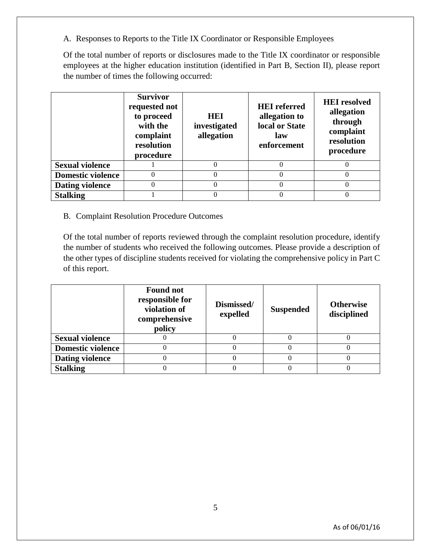A. Responses to Reports to the Title IX Coordinator or Responsible Employees

Of the total number of reports or disclosures made to the Title IX coordinator or responsible employees at the higher education institution (identified in Part B, Section II), please report the number of times the following occurred:

|                          | <b>Survivor</b><br>requested not<br>to proceed<br>with the<br>complaint<br>resolution<br>procedure | HEI<br>investigated<br>allegation | <b>HEI</b> referred<br>allegation to<br>local or State<br>law<br>enforcement | <b>HEI</b> resolved<br>allegation<br>through<br>complaint<br>resolution<br>procedure |
|--------------------------|----------------------------------------------------------------------------------------------------|-----------------------------------|------------------------------------------------------------------------------|--------------------------------------------------------------------------------------|
| <b>Sexual violence</b>   |                                                                                                    |                                   |                                                                              |                                                                                      |
| <b>Domestic violence</b> |                                                                                                    |                                   |                                                                              |                                                                                      |
| <b>Dating violence</b>   |                                                                                                    |                                   | $\Omega$                                                                     |                                                                                      |
| <b>Stalking</b>          |                                                                                                    |                                   |                                                                              |                                                                                      |

#### B. Complaint Resolution Procedure Outcomes

Of the total number of reports reviewed through the complaint resolution procedure, identify the number of students who received the following outcomes. Please provide a description of the other types of discipline students received for violating the comprehensive policy in Part C of this report.

|                          | <b>Found not</b><br>responsible for<br>violation of<br>comprehensive<br>policy | Dismissed/<br>expelled | <b>Suspended</b> | <b>Otherwise</b><br>disciplined |
|--------------------------|--------------------------------------------------------------------------------|------------------------|------------------|---------------------------------|
| <b>Sexual violence</b>   |                                                                                |                        |                  |                                 |
| <b>Domestic violence</b> |                                                                                |                        |                  |                                 |
| <b>Dating violence</b>   |                                                                                |                        |                  |                                 |
| <b>Stalking</b>          |                                                                                |                        |                  |                                 |